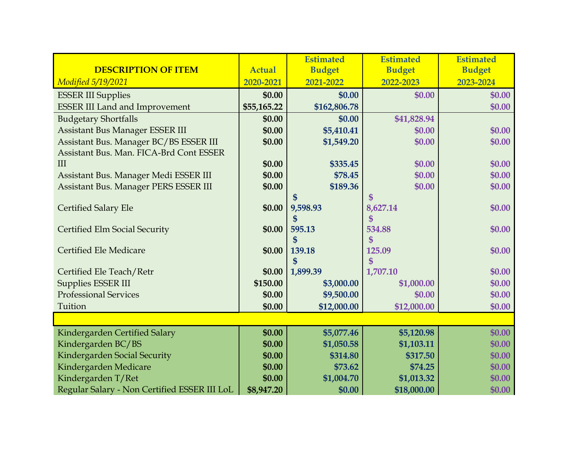|                                              |               | <b>Estimated</b>            | <b>Estimated</b> | <b>Estimated</b> |
|----------------------------------------------|---------------|-----------------------------|------------------|------------------|
| <b>DESCRIPTION OF ITEM</b>                   | <b>Actual</b> | <b>Budget</b>               | <b>Budget</b>    | <b>Budget</b>    |
| <i>Modified 5/19/2021</i>                    | 2020-2021     | 2021-2022                   | 2022-2023        | 2023-2024        |
| <b>ESSER III Supplies</b>                    | \$0.00        | \$0.00                      | \$0.00           | \$0.00           |
| <b>ESSER III Land and Improvement</b>        | \$55,165.22   | \$162,806.78                |                  | \$0.00           |
| <b>Budgetary Shortfalls</b>                  | \$0.00        | \$0.00                      | \$41,828.94      |                  |
| <b>Assistant Bus Manager ESSER III</b>       | \$0.00        | \$5,410.41                  | \$0.00           | \$0.00           |
| Assistant Bus. Manager BC/BS ESSER III       | \$0.00        | \$1,549.20                  | \$0.00           | \$0.00           |
| Assistant Bus. Man. FICA-Brd Cont ESSER      |               |                             |                  |                  |
| III                                          | \$0.00        | \$335.45                    | \$0.00           | \$0.00           |
| Assistant Bus. Manager Medi ESSER III        | \$0.00        | \$78.45                     | \$0.00           | \$0.00           |
| Assistant Bus. Manager PERS ESSER III        | \$0.00        | \$189.36                    | \$0.00           | \$0.00           |
|                                              |               |                             | \$               |                  |
| <b>Certified Salary Ele</b>                  | \$0.00        | 9,598.93                    | 8,627.14         | \$0.00           |
|                                              |               | \$                          | \$               |                  |
| <b>Certified Elm Social Security</b>         | \$0.00        | 595.13                      | 534.88           | \$0.00           |
| <b>Certified Ele Medicare</b>                | \$0.00        | $\boldsymbol{\$}$<br>139.18 | \$<br>125.09     | \$0.00           |
|                                              |               | $\mathbf{\$}$               | $\mathbf{\$}$    |                  |
| Certified Ele Teach/Retr                     | \$0.00        | 1,899.39                    | 1,707.10         | \$0.00           |
| Supplies ESSER III                           | \$150.00      | \$3,000.00                  | \$1,000.00       | \$0.00           |
| <b>Professional Services</b>                 | \$0.00        | \$9,500.00                  | \$0.00           | \$0.00           |
| Tuition                                      | \$0.00        | \$12,000.00                 | \$12,000.00      | \$0.00           |
|                                              |               |                             |                  |                  |
| Kindergarden Certified Salary                | \$0.00        | \$5,077.46                  | \$5,120.98       | \$0.00           |
| Kindergarden BC/BS                           | \$0.00        | \$1,050.58                  | \$1,103.11       | \$0.00           |
| Kindergarden Social Security                 | \$0.00        | \$314.80                    | \$317.50         | \$0.00           |
| Kindergarden Medicare                        | \$0.00        | \$73.62                     | \$74.25          | \$0.00           |
| Kindergarden T/Ret                           | \$0.00        | \$1,004.70                  | \$1,013.32       | \$0.00           |
| Regular Salary - Non Certified ESSER III LoL | \$8,947.20    | \$0.00                      | \$18,000.00      | \$0.00           |